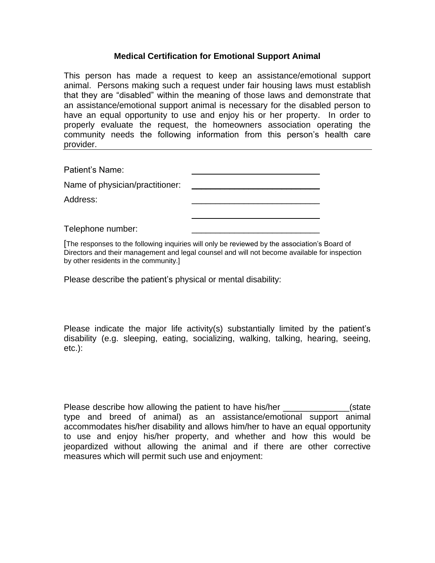## **Medical Certification for Emotional Support Animal**

This person has made a request to keep an assistance/emotional support animal. Persons making such a request under fair housing laws must establish that they are "disabled" within the meaning of those laws and demonstrate that an assistance/emotional support animal is necessary for the disabled person to have an equal opportunity to use and enjoy his or her property. In order to properly evaluate the request, the homeowners association operating the community needs the following information from this person's health care provider.

Patient's Name:

| Name of physician/practitioner: |  |
|---------------------------------|--|
|                                 |  |

Address:

Telephone number:

[The responses to the following inquiries will only be reviewed by the association's Board of Directors and their management and legal counsel and will not become available for inspection by other residents in the community.]

\_\_\_\_\_\_\_\_\_\_\_\_\_\_\_\_\_\_\_\_\_\_\_\_\_\_\_

Please describe the patient's physical or mental disability:

Please indicate the major life activity(s) substantially limited by the patient's disability (e.g. sleeping, eating, socializing, walking, talking, hearing, seeing, etc.):

Please describe how allowing the patient to have his/her **Example 20** (state type and breed of animal) as an assistance/emotional support animal accommodates his/her disability and allows him/her to have an equal opportunity to use and enjoy his/her property, and whether and how this would be jeopardized without allowing the animal and if there are other corrective measures which will permit such use and enjoyment: